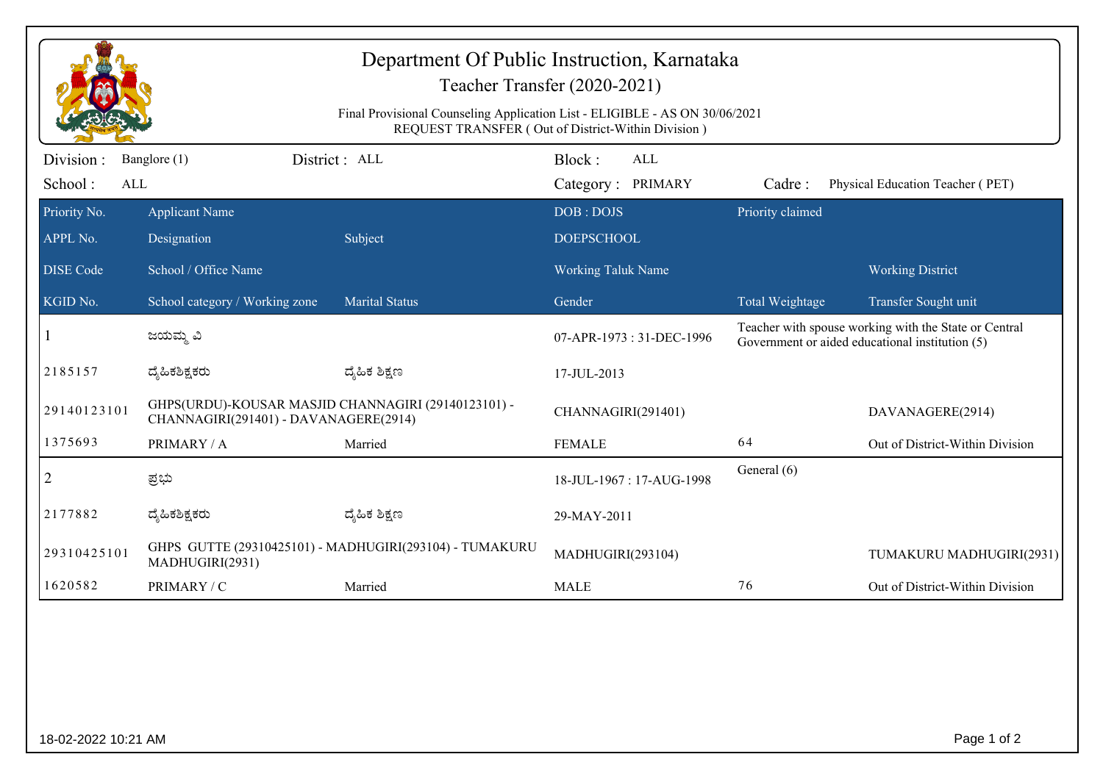| Department Of Public Instruction, Karnataka<br>Teacher Transfer (2020-2021)<br>Final Provisional Counseling Application List - ELIGIBLE - AS ON 30/06/2021<br>REQUEST TRANSFER (Out of District-Within Division) |                                                                                              |                       |                                           |                                                                                                          |                                  |  |  |  |
|------------------------------------------------------------------------------------------------------------------------------------------------------------------------------------------------------------------|----------------------------------------------------------------------------------------------|-----------------------|-------------------------------------------|----------------------------------------------------------------------------------------------------------|----------------------------------|--|--|--|
| Division :<br>School:<br><b>ALL</b>                                                                                                                                                                              | Banglore (1)                                                                                 | District : ALL        | Block:<br><b>ALL</b><br>Category: PRIMARY | Cadre:                                                                                                   | Physical Education Teacher (PET) |  |  |  |
| Priority No.<br>APPL No.                                                                                                                                                                                         | <b>Applicant Name</b><br>Designation                                                         | Subject               | DOB: DOJS<br><b>DOEPSCHOOL</b>            | Priority claimed                                                                                         |                                  |  |  |  |
| <b>DISE</b> Code                                                                                                                                                                                                 | School / Office Name                                                                         |                       | <b>Working Taluk Name</b>                 |                                                                                                          | <b>Working District</b>          |  |  |  |
| KGID No.                                                                                                                                                                                                         | School category / Working zone                                                               | <b>Marital Status</b> | Gender                                    | Total Weightage                                                                                          | Transfer Sought unit             |  |  |  |
|                                                                                                                                                                                                                  | ಜಯಮ್ಮ ವಿ                                                                                     |                       | 07-APR-1973: 31-DEC-1996                  | Teacher with spouse working with the State or Central<br>Government or aided educational institution (5) |                                  |  |  |  |
| 2185157                                                                                                                                                                                                          | ದ್ಯಹಿಕಶಿಕ್ಷಕರು                                                                               | ದ್ಯೆಹಿಕ ಶಿಕ್ಷಣ        | 17-JUL-2013                               |                                                                                                          |                                  |  |  |  |
| 29140123101                                                                                                                                                                                                      | GHPS(URDU)-KOUSAR MASJID CHANNAGIRI (29140123101) -<br>CHANNAGIRI(291401) - DAVANAGERE(2914) |                       | CHANNAGIRI(291401)                        |                                                                                                          | DAVANAGERE(2914)                 |  |  |  |
| 1375693                                                                                                                                                                                                          | PRIMARY / A                                                                                  | Married               | <b>FEMALE</b>                             | 64                                                                                                       | Out of District-Within Division  |  |  |  |
| $\overline{c}$                                                                                                                                                                                                   | ಪ್ರಭು                                                                                        |                       | 18-JUL-1967: 17-AUG-1998                  | General (6)                                                                                              |                                  |  |  |  |
| 2177882                                                                                                                                                                                                          | ದ್ಯೆಹಿಕಶಿಕ್ಷಕರು                                                                              | ದ್ಮಹಿಕ ಶಿಕ್ಷಣ         | 29-MAY-2011                               |                                                                                                          |                                  |  |  |  |
| 29310425101                                                                                                                                                                                                      | GHPS GUTTE (29310425101) - MADHUGIRI(293104) - TUMAKURU<br>MADHUGIRI(2931)                   |                       | MADHUGIRI(293104)                         |                                                                                                          | TUMAKURU MADHUGIRI(2931)         |  |  |  |
| 1620582                                                                                                                                                                                                          | PRIMARY / C                                                                                  | Married               | <b>MALE</b>                               | 76                                                                                                       | Out of District-Within Division  |  |  |  |
|                                                                                                                                                                                                                  |                                                                                              |                       |                                           |                                                                                                          |                                  |  |  |  |
| Page 1 of 2<br>18-02-2022 10:21 AM                                                                                                                                                                               |                                                                                              |                       |                                           |                                                                                                          |                                  |  |  |  |